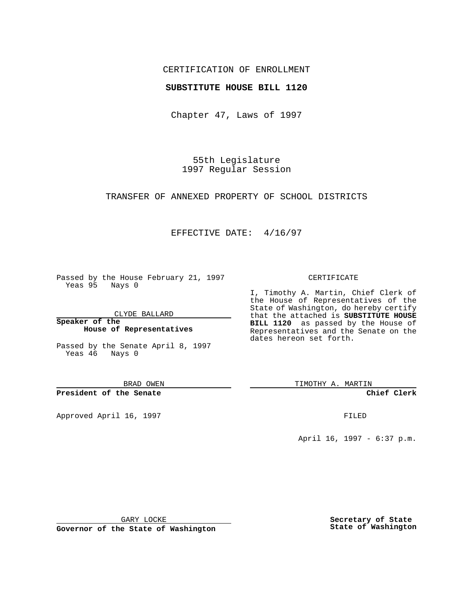## CERTIFICATION OF ENROLLMENT

## **SUBSTITUTE HOUSE BILL 1120**

Chapter 47, Laws of 1997

55th Legislature 1997 Regular Session

TRANSFER OF ANNEXED PROPERTY OF SCHOOL DISTRICTS

## EFFECTIVE DATE: 4/16/97

Passed by the House February 21, 1997 Yeas 95 Nays 0

CLYDE BALLARD

**Speaker of the House of Representatives**

Passed by the Senate April 8, 1997 Yeas 46 Nays 0

BRAD OWEN

**President of the Senate**

Approved April 16, 1997 **FILED** 

#### CERTIFICATE

I, Timothy A. Martin, Chief Clerk of the House of Representatives of the State of Washington, do hereby certify that the attached is **SUBSTITUTE HOUSE BILL 1120** as passed by the House of Representatives and the Senate on the dates hereon set forth.

TIMOTHY A. MARTIN

**Chief Clerk**

April 16, 1997 - 6:37 p.m.

GARY LOCKE

**Governor of the State of Washington**

**Secretary of State State of Washington**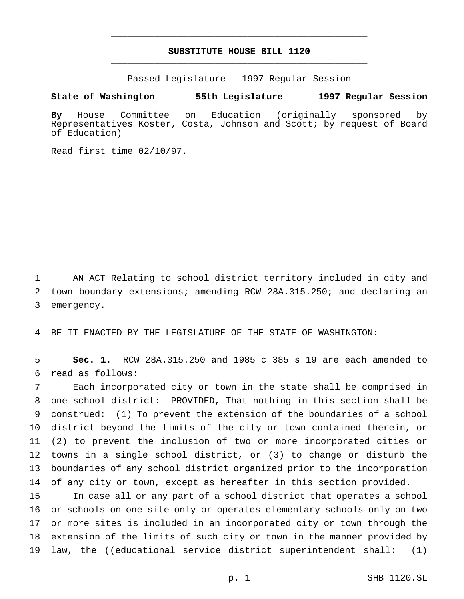# **SUBSTITUTE HOUSE BILL 1120** \_\_\_\_\_\_\_\_\_\_\_\_\_\_\_\_\_\_\_\_\_\_\_\_\_\_\_\_\_\_\_\_\_\_\_\_\_\_\_\_\_\_\_\_\_\_\_

\_\_\_\_\_\_\_\_\_\_\_\_\_\_\_\_\_\_\_\_\_\_\_\_\_\_\_\_\_\_\_\_\_\_\_\_\_\_\_\_\_\_\_\_\_\_\_

Passed Legislature - 1997 Regular Session

#### **State of Washington 55th Legislature 1997 Regular Session**

**By** House Committee on Education (originally sponsored by Representatives Koster, Costa, Johnson and Scott; by request of Board of Education)

Read first time 02/10/97.

1 AN ACT Relating to school district territory included in city and 2 town boundary extensions; amending RCW 28A.315.250; and declaring an 3 emergency.

4 BE IT ENACTED BY THE LEGISLATURE OF THE STATE OF WASHINGTON:

5 **Sec. 1.** RCW 28A.315.250 and 1985 c 385 s 19 are each amended to 6 read as follows:

 Each incorporated city or town in the state shall be comprised in one school district: PROVIDED, That nothing in this section shall be construed: (1) To prevent the extension of the boundaries of a school district beyond the limits of the city or town contained therein, or (2) to prevent the inclusion of two or more incorporated cities or towns in a single school district, or (3) to change or disturb the boundaries of any school district organized prior to the incorporation 14 of any city or town, except as hereafter in this section provided.

 In case all or any part of a school district that operates a school or schools on one site only or operates elementary schools only on two or more sites is included in an incorporated city or town through the extension of the limits of such city or town in the manner provided by 19 law, the ((educational service district superintendent shall:  $(1)$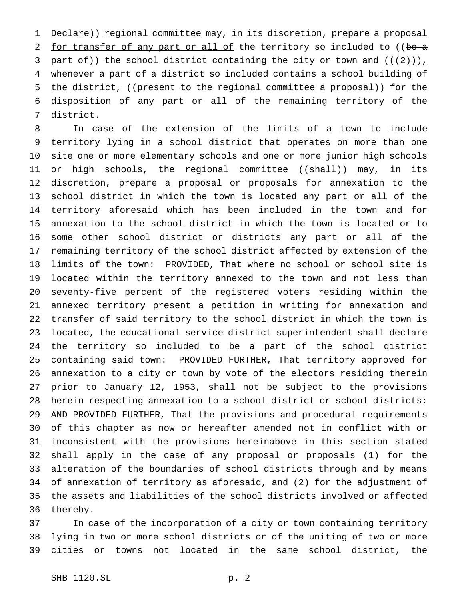1 Declare)) regional committee may, in its discretion, prepare a proposal 2 for transfer of any part or all of the territory so included to ((be a 3 part of)) the school district containing the city or town and  $((+2)^{n})_{n}$  whenever a part of a district so included contains a school building of 5 the district, ((present to the regional committee a proposal)) for the disposition of any part or all of the remaining territory of the district.

 In case of the extension of the limits of a town to include territory lying in a school district that operates on more than one site one or more elementary schools and one or more junior high schools 11 or high schools, the regional committee ((<del>shall</del>)) <u>may</u>, in its discretion, prepare a proposal or proposals for annexation to the school district in which the town is located any part or all of the territory aforesaid which has been included in the town and for annexation to the school district in which the town is located or to some other school district or districts any part or all of the remaining territory of the school district affected by extension of the limits of the town: PROVIDED, That where no school or school site is located within the territory annexed to the town and not less than seventy-five percent of the registered voters residing within the annexed territory present a petition in writing for annexation and transfer of said territory to the school district in which the town is located, the educational service district superintendent shall declare the territory so included to be a part of the school district containing said town: PROVIDED FURTHER, That territory approved for annexation to a city or town by vote of the electors residing therein prior to January 12, 1953, shall not be subject to the provisions herein respecting annexation to a school district or school districts: AND PROVIDED FURTHER, That the provisions and procedural requirements of this chapter as now or hereafter amended not in conflict with or inconsistent with the provisions hereinabove in this section stated shall apply in the case of any proposal or proposals (1) for the alteration of the boundaries of school districts through and by means of annexation of territory as aforesaid, and (2) for the adjustment of the assets and liabilities of the school districts involved or affected thereby.

 In case of the incorporation of a city or town containing territory lying in two or more school districts or of the uniting of two or more cities or towns not located in the same school district, the